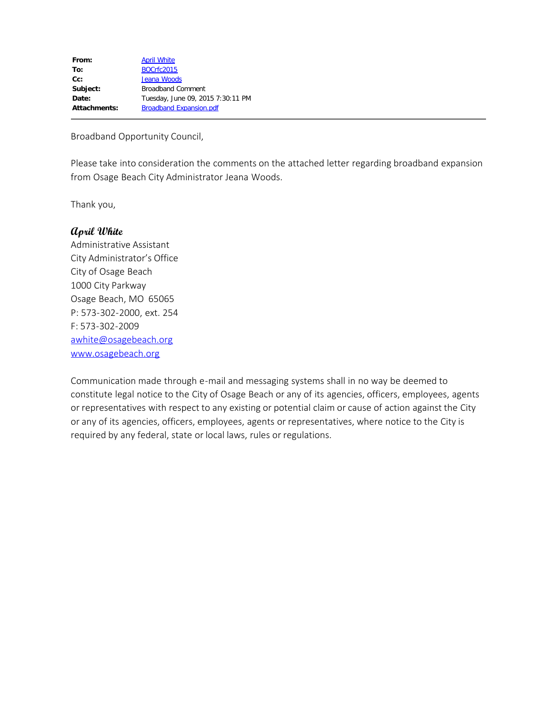| From:        | <b>April White</b>                |
|--------------|-----------------------------------|
| To:          | <b>BOCrfc2015</b>                 |
| $Cc$ :       | Jeana Woods                       |
| Subject:     | <b>Broadband Comment</b>          |
| Date:        | Tuesday, June 09, 2015 7:30:11 PM |
| Attachments: | <b>Broadband Expansion.pdf</b>    |
|              |                                   |

Broadband Opportunity Council,

Please take into consideration the comments on the attached letter regarding broadband expansion from Osage Beach City Administrator Jeana Woods.

Thank you,

## **April White**

Administrative Assistant City Administrator's Office City of Osage Beach 1000 City Parkway Osage Beach, MO 65065 P: 573-302-2000, ext. 254 F: 573-302-2009 [awhite@osagebeach.org](mailto:awhite@osagebeach.org) [www.osagebeach.org](http://www.osagebeach.org/)

Communication made through e-mail and messaging systems shall in no way be deemed to constitute legal notice to the City of Osage Beach or any of its agencies, officers, employees, agents or representatives with respect to any existing or potential claim or cause of action against the City or any of its agencies, officers, employees, agents or representatives, where notice to the City is required by any federal, state or local laws, rules or regulations.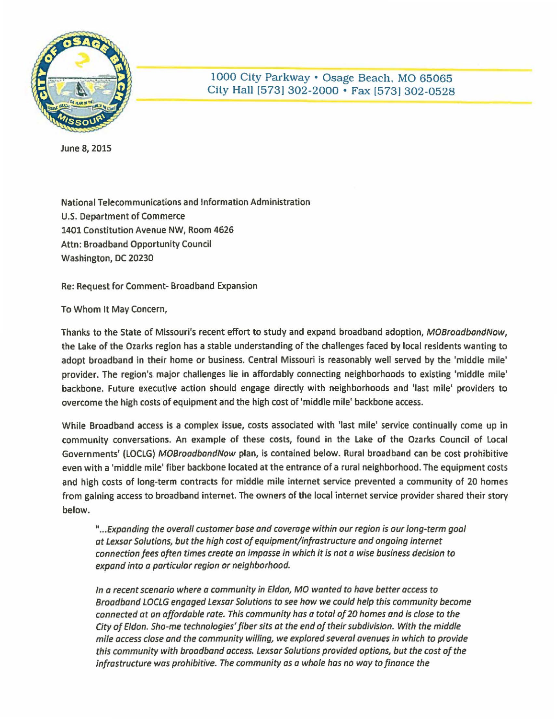

1000 City Parkway • Osage Beach. MO 65065 City Hall [573) 302-2000 • Fax [5731 302-0528

June 8, 2015

National Telecommunications and Information Administration U.S. Department of Commerce 1401 Constitution Avenue NW, Room 4626 Attn: Broadband Opportunity Council Washington, DC 20230

Re: Request for Comment- Broadband Expansion

To Whom It May Concern,

Thanks to the State of Missouri's recent effort to study and expand broadband adoption, MOBroadbandNow, the Lake of the Ozarks region has a stable understanding of the challenges faced by local residents wanting to adopt broadband in their home or business. Central Missouri is reasonably well served by the 'middle mile' provider. The region's major challenges lie in affordably connecting neighborhoods to existing 'middle mile' backbone. Future executive action should engage directly with neighborhoods and 'last mile' providers to overcome the high costs of equipment and the high cost of 'middle mile' backbone access.

While Broadband access is a complex issue, costs associated with 'last mile' service continually come up in community conversations. An example of these costs, found in the Lake of the Ozarks Council of Local Governments' (LOCLG} MOBroodbandNow plan, is contained below. Rural broadband can be cost prohibitive even with a 'middle mile' fiber backbone located at the entrance of a rural neighborhood. The equipment costs and high costs of long-term contracts for middle mile internet service prevented a community of 20 homes from gaining access to broadband internet. The owners of the local internet service provider shared their story below.

" ... Expanding the overall customer base ond coverage within our region is our long-term goal at Lexsor Solutions, but the high cost of equipment/infrastructure and ongoing internet connection fees often times create on impasse in which it is not a wise business decision to expand into a particular region or neighborhood.

In a recent scenario where a community in Eldon, MO wanted to hove better access to Broadband LOCLG engaged Lexsar Solutions to see how we could help this community become connected at an affordable rate. This community has a total of 20 homes and is close to the City of Eldon. Sho-me technologies' fiber sits at the end of their subdivision. With the middle mile access close and the community willing, we explored several avenues in which to provide this community with broadband access. Lexsar Solutions provided options, but the cost of the infrastructure was prohibitive. The community as a whole has no way to finance the